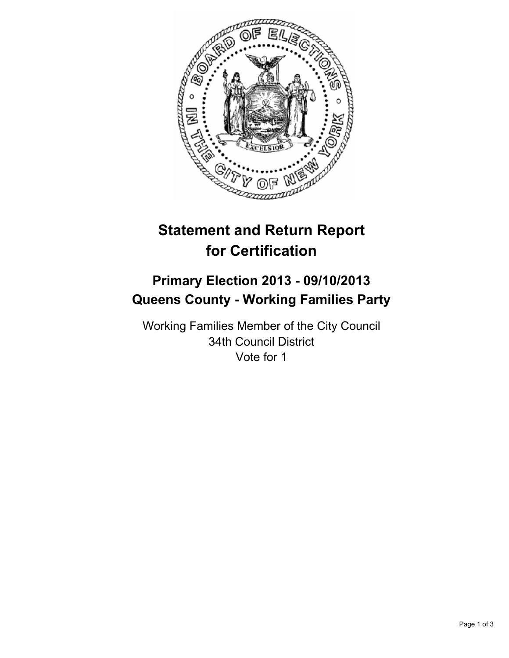

# **Statement and Return Report for Certification**

## **Primary Election 2013 - 09/10/2013 Queens County - Working Families Party**

Working Families Member of the City Council 34th Council District Vote for 1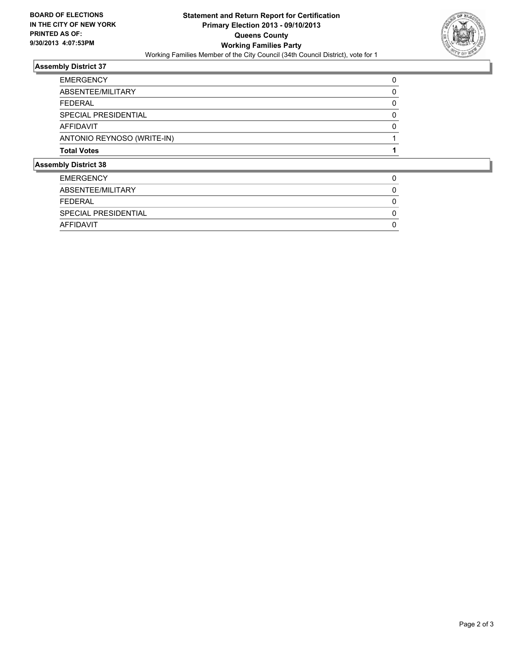

### **Assembly District 37**

| <b>Total Votes</b>         |   |
|----------------------------|---|
| ANTONIO REYNOSO (WRITE-IN) |   |
| AFFIDAVIT                  | 0 |
| SPECIAL PRESIDENTIAL       | 0 |
| FFDFRAL                    | 0 |
| ABSENTEE/MILITARY          | 0 |
| <b>EMERGENCY</b>           |   |

#### **Assembly District 38**

| <b>EMERGENCY</b>     |  |
|----------------------|--|
| ABSENTEE/MILITARY    |  |
| FEDERAL              |  |
| SPECIAL PRESIDENTIAL |  |
| AFFIDAVIT            |  |